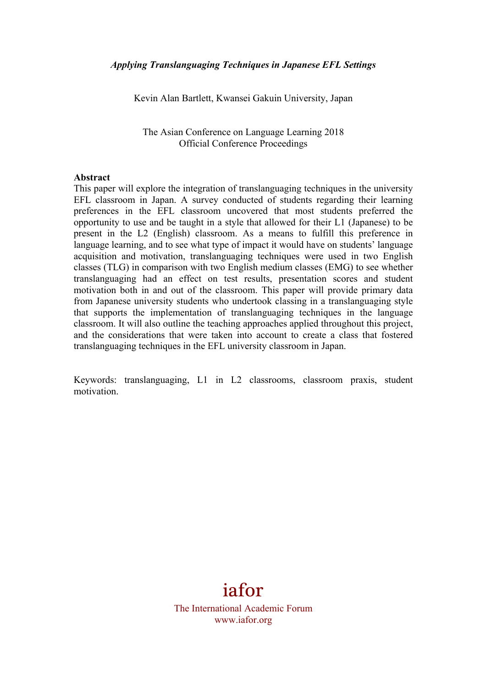Kevin Alan Bartlett, Kwansei Gakuin University, Japan

The Asian Conference on Language Learning 2018 Official Conference Proceedings

#### **Abstract**

This paper will explore the integration of translanguaging techniques in the university EFL classroom in Japan. A survey conducted of students regarding their learning preferences in the EFL classroom uncovered that most students preferred the opportunity to use and be taught in a style that allowed for their L1 (Japanese) to be present in the L2 (English) classroom. As a means to fulfill this preference in language learning, and to see what type of impact it would have on students' language acquisition and motivation, translanguaging techniques were used in two English classes (TLG) in comparison with two English medium classes (EMG) to see whether translanguaging had an effect on test results, presentation scores and student motivation both in and out of the classroom. This paper will provide primary data from Japanese university students who undertook classing in a translanguaging style that supports the implementation of translanguaging techniques in the language classroom. It will also outline the teaching approaches applied throughout this project, and the considerations that were taken into account to create a class that fostered translanguaging techniques in the EFL university classroom in Japan.

Keywords: translanguaging, L1 in L2 classrooms, classroom praxis, student motivation.

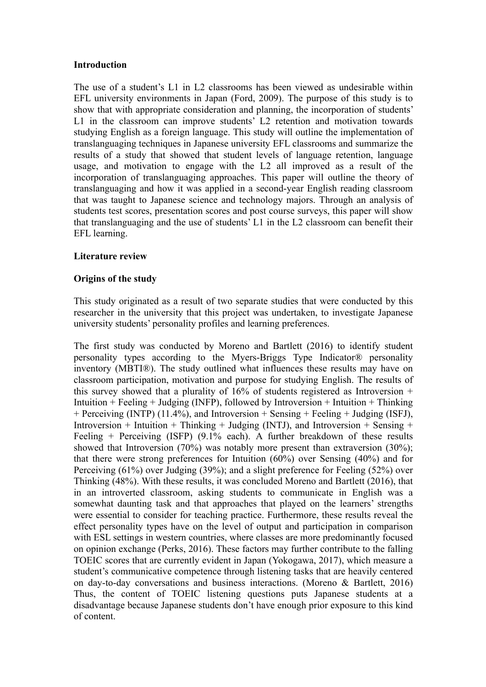### **Introduction**

The use of a student's L1 in L2 classrooms has been viewed as undesirable within EFL university environments in Japan (Ford, 2009). The purpose of this study is to show that with appropriate consideration and planning, the incorporation of students' L1 in the classroom can improve students' L2 retention and motivation towards studying English as a foreign language. This study will outline the implementation of translanguaging techniques in Japanese university EFL classrooms and summarize the results of a study that showed that student levels of language retention, language usage, and motivation to engage with the L2 all improved as a result of the incorporation of translanguaging approaches. This paper will outline the theory of translanguaging and how it was applied in a second-year English reading classroom that was taught to Japanese science and technology majors. Through an analysis of students test scores, presentation scores and post course surveys, this paper will show that translanguaging and the use of students' L1 in the L2 classroom can benefit their EFL learning.

# **Literature review**

## **Origins of the study**

This study originated as a result of two separate studies that were conducted by this researcher in the university that this project was undertaken, to investigate Japanese university students' personality profiles and learning preferences.

The first study was conducted by Moreno and Bartlett (2016) to identify student personality types according to the Myers-Briggs Type Indicator® personality inventory (MBTI®). The study outlined what influences these results may have on classroom participation, motivation and purpose for studying English. The results of this survey showed that a plurality of  $16\%$  of students registered as Introversion + Intuition + Feeling + Judging (INFP), followed by Introversion + Intuition + Thinking + Perceiving (INTP) (11.4%), and Introversion + Sensing + Feeling + Judging (ISFJ), Introversion + Intuition + Thinking + Judging (INTJ), and Introversion + Sensing + Feeling + Perceiving (ISFP)  $(9.1\%$  each). A further breakdown of these results showed that Introversion (70%) was notably more present than extraversion (30%); that there were strong preferences for Intuition (60%) over Sensing (40%) and for Perceiving (61%) over Judging (39%); and a slight preference for Feeling (52%) over Thinking (48%). With these results, it was concluded Moreno and Bartlett (2016), that in an introverted classroom, asking students to communicate in English was a somewhat daunting task and that approaches that played on the learners' strengths were essential to consider for teaching practice. Furthermore, these results reveal the effect personality types have on the level of output and participation in comparison with ESL settings in western countries, where classes are more predominantly focused on opinion exchange (Perks, 2016). These factors may further contribute to the falling TOEIC scores that are currently evident in Japan (Yokogawa, 2017), which measure a student's communicative competence through listening tasks that are heavily centered on day-to-day conversations and business interactions. (Moreno & Bartlett, 2016) Thus, the content of TOEIC listening questions puts Japanese students at a disadvantage because Japanese students don't have enough prior exposure to this kind of content.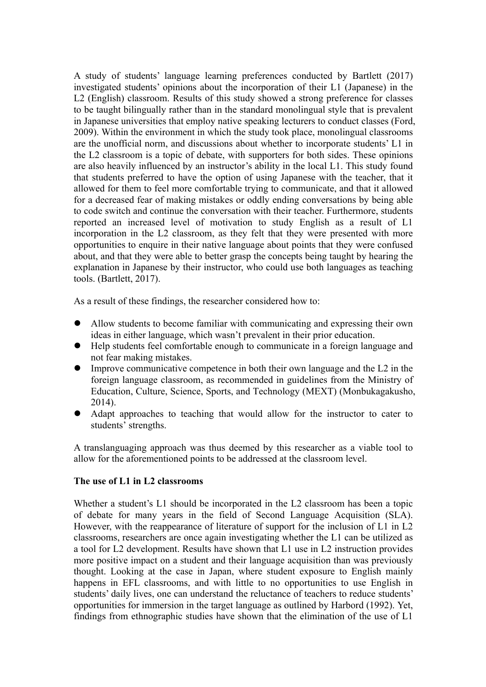A study of students' language learning preferences conducted by Bartlett (2017) investigated students' opinions about the incorporation of their L1 (Japanese) in the L2 (English) classroom. Results of this study showed a strong preference for classes to be taught bilingually rather than in the standard monolingual style that is prevalent in Japanese universities that employ native speaking lecturers to conduct classes (Ford, 2009). Within the environment in which the study took place, monolingual classrooms are the unofficial norm, and discussions about whether to incorporate students' L1 in the L2 classroom is a topic of debate, with supporters for both sides. These opinions are also heavily influenced by an instructor's ability in the local L1. This study found that students preferred to have the option of using Japanese with the teacher, that it allowed for them to feel more comfortable trying to communicate, and that it allowed for a decreased fear of making mistakes or oddly ending conversations by being able to code switch and continue the conversation with their teacher. Furthermore, students reported an increased level of motivation to study English as a result of L1 incorporation in the L2 classroom, as they felt that they were presented with more opportunities to enquire in their native language about points that they were confused about, and that they were able to better grasp the concepts being taught by hearing the explanation in Japanese by their instructor, who could use both languages as teaching tools. (Bartlett, 2017).

As a result of these findings, the researcher considered how to:

- l Allow students to become familiar with communicating and expressing their own ideas in either language, which wasn't prevalent in their prior education.
- l Help students feel comfortable enough to communicate in a foreign language and not fear making mistakes.
- $\bullet$  Improve communicative competence in both their own language and the L2 in the foreign language classroom, as recommended in guidelines from the Ministry of Education, Culture, Science, Sports, and Technology (MEXT) (Monbukagakusho, 2014).
- Adapt approaches to teaching that would allow for the instructor to cater to students' strengths.

A translanguaging approach was thus deemed by this researcher as a viable tool to allow for the aforementioned points to be addressed at the classroom level.

# **The use of L1 in L2 classrooms**

Whether a student's L1 should be incorporated in the L2 classroom has been a topic of debate for many years in the field of Second Language Acquisition (SLA). However, with the reappearance of literature of support for the inclusion of L1 in L2 classrooms, researchers are once again investigating whether the L1 can be utilized as a tool for L2 development. Results have shown that L1 use in L2 instruction provides more positive impact on a student and their language acquisition than was previously thought. Looking at the case in Japan, where student exposure to English mainly happens in EFL classrooms, and with little to no opportunities to use English in students' daily lives, one can understand the reluctance of teachers to reduce students' opportunities for immersion in the target language as outlined by Harbord (1992). Yet, findings from ethnographic studies have shown that the elimination of the use of L1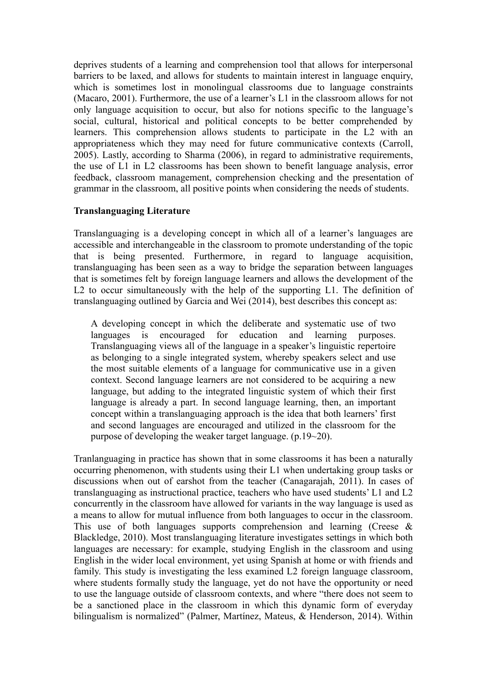deprives students of a learning and comprehension tool that allows for interpersonal barriers to be laxed, and allows for students to maintain interest in language enquiry, which is sometimes lost in monolingual classrooms due to language constraints (Macaro, 2001). Furthermore, the use of a learner's L1 in the classroom allows for not only language acquisition to occur, but also for notions specific to the language's social, cultural, historical and political concepts to be better comprehended by learners. This comprehension allows students to participate in the L2 with an appropriateness which they may need for future communicative contexts (Carroll, 2005). Lastly, according to Sharma (2006), in regard to administrative requirements, the use of L1 in L2 classrooms has been shown to benefit language analysis, error feedback, classroom management, comprehension checking and the presentation of grammar in the classroom, all positive points when considering the needs of students.

### **Translanguaging Literature**

Translanguaging is a developing concept in which all of a learner's languages are accessible and interchangeable in the classroom to promote understanding of the topic that is being presented. Furthermore, in regard to language acquisition, translanguaging has been seen as a way to bridge the separation between languages that is sometimes felt by foreign language learners and allows the development of the L2 to occur simultaneously with the help of the supporting L1. The definition of translanguaging outlined by Garcia and Wei (2014), best describes this concept as:

A developing concept in which the deliberate and systematic use of two languages is encouraged for education and learning purposes. Translanguaging views all of the language in a speaker's linguistic repertoire as belonging to a single integrated system, whereby speakers select and use the most suitable elements of a language for communicative use in a given context. Second language learners are not considered to be acquiring a new language, but adding to the integrated linguistic system of which their first language is already a part. In second language learning, then, an important concept within a translanguaging approach is the idea that both learners' first and second languages are encouraged and utilized in the classroom for the purpose of developing the weaker target language. (p.19~20).

Tranlanguaging in practice has shown that in some classrooms it has been a naturally occurring phenomenon, with students using their L1 when undertaking group tasks or discussions when out of earshot from the teacher (Canagarajah, 2011). In cases of translanguaging as instructional practice, teachers who have used students' L1 and L2 concurrently in the classroom have allowed for variants in the way language is used as a means to allow for mutual influence from both languages to occur in the classroom. This use of both languages supports comprehension and learning (Creese  $\&$ Blackledge, 2010). Most translanguaging literature investigates settings in which both languages are necessary: for example, studying English in the classroom and using English in the wider local environment, yet using Spanish at home or with friends and family. This study is investigating the less examined L2 foreign language classroom, where students formally study the language, yet do not have the opportunity or need to use the language outside of classroom contexts, and where "there does not seem to be a sanctioned place in the classroom in which this dynamic form of everyday bilingualism is normalized" (Palmer, Martínez, Mateus, & Henderson, 2014). Within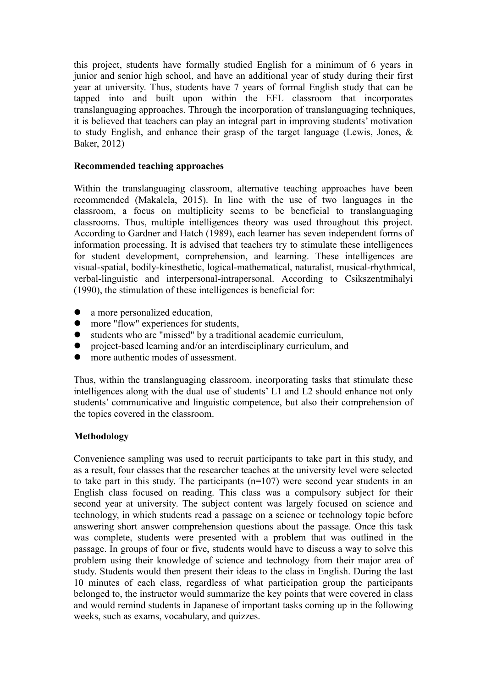this project, students have formally studied English for a minimum of 6 years in junior and senior high school, and have an additional year of study during their first year at university. Thus, students have 7 years of formal English study that can be tapped into and built upon within the EFL classroom that incorporates translanguaging approaches. Through the incorporation of translanguaging techniques, it is believed that teachers can play an integral part in improving students' motivation to study English, and enhance their grasp of the target language (Lewis, Jones, & Baker, 2012)

## **Recommended teaching approaches**

Within the translanguaging classroom, alternative teaching approaches have been recommended (Makalela, 2015). In line with the use of two languages in the classroom, a focus on multiplicity seems to be beneficial to translanguaging classrooms. Thus, multiple intelligences theory was used throughout this project. According to Gardner and Hatch (1989), each learner has seven independent forms of information processing. It is advised that teachers try to stimulate these intelligences for student development, comprehension, and learning. These intelligences are visual-spatial, bodily-kinesthetic, logical-mathematical, naturalist, musical-rhythmical, verbal-linguistic and interpersonal-intrapersonal. According to Csikszentmihalyi (1990), the stimulation of these intelligences is beneficial for:

- $\bullet$  a more personalized education,
- more "flow" experiences for students,
- $\bullet$  students who are "missed" by a traditional academic curriculum,
- project-based learning and/or an interdisciplinary curriculum, and
- **•** more authentic modes of assessment.

Thus, within the translanguaging classroom, incorporating tasks that stimulate these intelligences along with the dual use of students' L1 and L2 should enhance not only students' communicative and linguistic competence, but also their comprehension of the topics covered in the classroom.

# **Methodology**

Convenience sampling was used to recruit participants to take part in this study, and as a result, four classes that the researcher teaches at the university level were selected to take part in this study. The participants (n=107) were second year students in an English class focused on reading. This class was a compulsory subject for their second year at university. The subject content was largely focused on science and technology, in which students read a passage on a science or technology topic before answering short answer comprehension questions about the passage. Once this task was complete, students were presented with a problem that was outlined in the passage. In groups of four or five, students would have to discuss a way to solve this problem using their knowledge of science and technology from their major area of study. Students would then present their ideas to the class in English. During the last 10 minutes of each class, regardless of what participation group the participants belonged to, the instructor would summarize the key points that were covered in class and would remind students in Japanese of important tasks coming up in the following weeks, such as exams, vocabulary, and quizzes.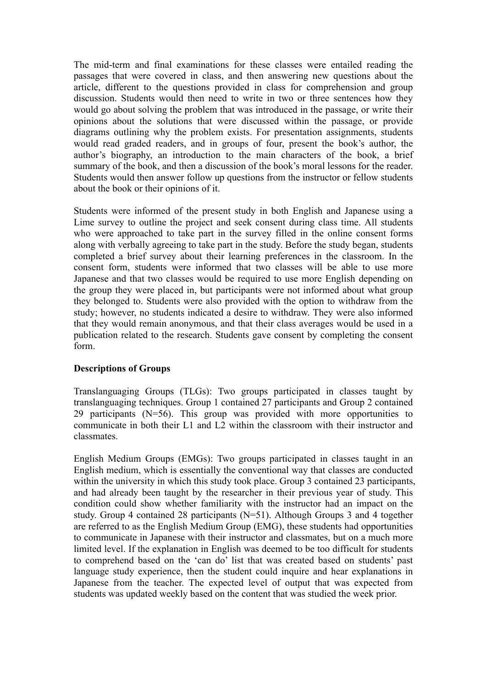The mid-term and final examinations for these classes were entailed reading the passages that were covered in class, and then answering new questions about the article, different to the questions provided in class for comprehension and group discussion. Students would then need to write in two or three sentences how they would go about solving the problem that was introduced in the passage, or write their opinions about the solutions that were discussed within the passage, or provide diagrams outlining why the problem exists. For presentation assignments, students would read graded readers, and in groups of four, present the book's author, the author's biography, an introduction to the main characters of the book, a brief summary of the book, and then a discussion of the book's moral lessons for the reader. Students would then answer follow up questions from the instructor or fellow students about the book or their opinions of it.

Students were informed of the present study in both English and Japanese using a Lime survey to outline the project and seek consent during class time. All students who were approached to take part in the survey filled in the online consent forms along with verbally agreeing to take part in the study. Before the study began, students completed a brief survey about their learning preferences in the classroom. In the consent form, students were informed that two classes will be able to use more Japanese and that two classes would be required to use more English depending on the group they were placed in, but participants were not informed about what group they belonged to. Students were also provided with the option to withdraw from the study; however, no students indicated a desire to withdraw. They were also informed that they would remain anonymous, and that their class averages would be used in a publication related to the research. Students gave consent by completing the consent form.

# **Descriptions of Groups**

Translanguaging Groups (TLGs): Two groups participated in classes taught by translanguaging techniques. Group 1 contained 27 participants and Group 2 contained 29 participants (N=56). This group was provided with more opportunities to communicate in both their L1 and L2 within the classroom with their instructor and classmates.

English Medium Groups (EMGs): Two groups participated in classes taught in an English medium, which is essentially the conventional way that classes are conducted within the university in which this study took place. Group 3 contained 23 participants, and had already been taught by the researcher in their previous year of study. This condition could show whether familiarity with the instructor had an impact on the study. Group 4 contained 28 participants (N=51). Although Groups 3 and 4 together are referred to as the English Medium Group (EMG), these students had opportunities to communicate in Japanese with their instructor and classmates, but on a much more limited level. If the explanation in English was deemed to be too difficult for students to comprehend based on the 'can do' list that was created based on students' past language study experience, then the student could inquire and hear explanations in Japanese from the teacher. The expected level of output that was expected from students was updated weekly based on the content that was studied the week prior.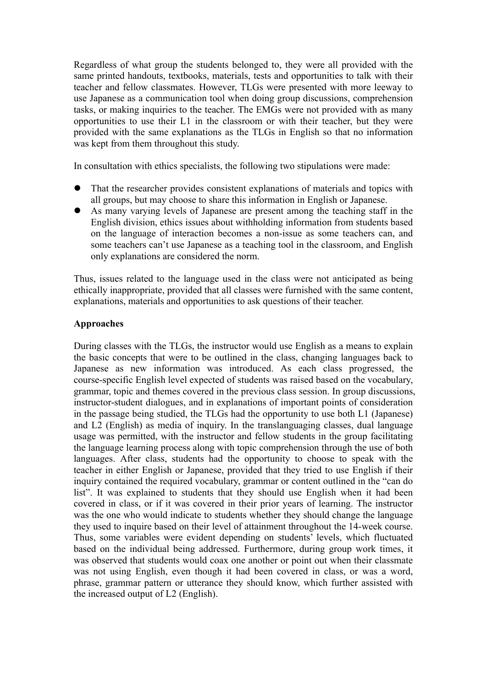Regardless of what group the students belonged to, they were all provided with the same printed handouts, textbooks, materials, tests and opportunities to talk with their teacher and fellow classmates. However, TLGs were presented with more leeway to use Japanese as a communication tool when doing group discussions, comprehension tasks, or making inquiries to the teacher. The EMGs were not provided with as many opportunities to use their L1 in the classroom or with their teacher, but they were provided with the same explanations as the TLGs in English so that no information was kept from them throughout this study.

In consultation with ethics specialists, the following two stipulations were made:

- That the researcher provides consistent explanations of materials and topics with all groups, but may choose to share this information in English or Japanese.
- l As many varying levels of Japanese are present among the teaching staff in the English division, ethics issues about withholding information from students based on the language of interaction becomes a non-issue as some teachers can, and some teachers can't use Japanese as a teaching tool in the classroom, and English only explanations are considered the norm.

Thus, issues related to the language used in the class were not anticipated as being ethically inappropriate, provided that all classes were furnished with the same content, explanations, materials and opportunities to ask questions of their teacher.

## **Approaches**

During classes with the TLGs, the instructor would use English as a means to explain the basic concepts that were to be outlined in the class, changing languages back to Japanese as new information was introduced. As each class progressed, the course-specific English level expected of students was raised based on the vocabulary, grammar, topic and themes covered in the previous class session. In group discussions, instructor-student dialogues, and in explanations of important points of consideration in the passage being studied, the TLGs had the opportunity to use both L1 (Japanese) and L2 (English) as media of inquiry. In the translanguaging classes, dual language usage was permitted, with the instructor and fellow students in the group facilitating the language learning process along with topic comprehension through the use of both languages. After class, students had the opportunity to choose to speak with the teacher in either English or Japanese, provided that they tried to use English if their inquiry contained the required vocabulary, grammar or content outlined in the "can do list". It was explained to students that they should use English when it had been covered in class, or if it was covered in their prior years of learning. The instructor was the one who would indicate to students whether they should change the language they used to inquire based on their level of attainment throughout the 14-week course. Thus, some variables were evident depending on students' levels, which fluctuated based on the individual being addressed. Furthermore, during group work times, it was observed that students would coax one another or point out when their classmate was not using English, even though it had been covered in class, or was a word, phrase, grammar pattern or utterance they should know, which further assisted with the increased output of L2 (English).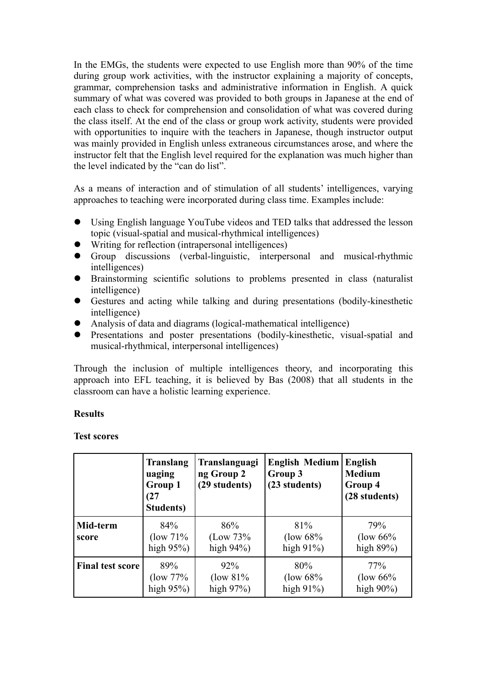In the EMGs, the students were expected to use English more than 90% of the time during group work activities, with the instructor explaining a majority of concepts, grammar, comprehension tasks and administrative information in English. A quick summary of what was covered was provided to both groups in Japanese at the end of each class to check for comprehension and consolidation of what was covered during the class itself. At the end of the class or group work activity, students were provided with opportunities to inquire with the teachers in Japanese, though instructor output was mainly provided in English unless extraneous circumstances arose, and where the instructor felt that the English level required for the explanation was much higher than the level indicated by the "can do list".

As a means of interaction and of stimulation of all students' intelligences, varying approaches to teaching were incorporated during class time. Examples include:

- Using English language YouTube videos and TED talks that addressed the lesson topic (visual-spatial and musical-rhythmical intelligences)
- $\bullet$  Writing for reflection (intrapersonal intelligences)
- l Group discussions (verbal-linguistic, interpersonal and musical-rhythmic intelligences)
- l Brainstorming scientific solutions to problems presented in class (naturalist intelligence)
- Gestures and acting while talking and during presentations (bodily-kinesthetic intelligence)
- Analysis of data and diagrams (logical-mathematical intelligence)
- **•** Presentations and poster presentations (bodily-kinesthetic, visual-spatial and musical-rhythmical, interpersonal intelligences)

Through the inclusion of multiple intelligences theory, and incorporating this approach into EFL teaching, it is believed by Bas (2008) that all students in the classroom can have a holistic learning experience.

# **Results**

### **Test scores**

|                         | <b>Translang</b><br>uaging<br>Group 1<br>(27)<br>Students) | Translanguagi<br>ng Group 2<br>(29 students) | <b>English Medium</b><br>Group 3<br>(23 students) | <b>English</b><br><b>Medium</b><br>Group 4<br>(28 students) |
|-------------------------|------------------------------------------------------------|----------------------------------------------|---------------------------------------------------|-------------------------------------------------------------|
| Mid-term<br>score       | 84%<br>$(\text{low } 71\%$<br>high $95\%$ )                | 86%<br>(Low 73%<br>high $94\%$ )             | 81%<br>$($ low 68%<br>high $91\%$ )               | 79%<br>(low $66%$ )<br>high $89\%$ )                        |
| <b>Final test score</b> | 89%<br>(low 77%)<br>high $95\%$ )                          | $92\%$<br>$\frac{1}{8}$<br>high $97\%$ )     | 80%<br>$($ low 68%<br>high $91\%$ )               | 77%<br>(low $66%$ )<br>high $90\%$ )                        |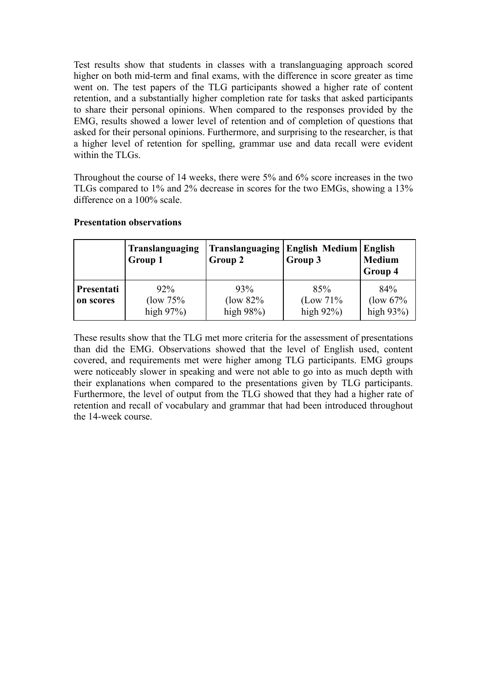Test results show that students in classes with a translanguaging approach scored higher on both mid-term and final exams, with the difference in score greater as time went on. The test papers of the TLG participants showed a higher rate of content retention, and a substantially higher completion rate for tasks that asked participants to share their personal opinions. When compared to the responses provided by the EMG, results showed a lower level of retention and of completion of questions that asked for their personal opinions. Furthermore, and surprising to the researcher, is that a higher level of retention for spelling, grammar use and data recall were evident within the TLGs.

Throughout the course of 14 weeks, there were 5% and 6% score increases in the two TLGs compared to 1% and 2% decrease in scores for the two EMGs, showing a 13% difference on a 100% scale.

### **Presentation observations**

|                                | Translanguaging                      | <b>Translanguaging</b>           | <b>English Medium English</b>    | <b>Medium</b>                                |
|--------------------------------|--------------------------------------|----------------------------------|----------------------------------|----------------------------------------------|
|                                | Group 1                              | Group 2                          | Group 3                          | Group 4                                      |
| <b>Presentati</b><br>on scores | $92\%$<br>(low 75%)<br>high $97\%$ ) | 93%<br>(low 82%<br>high $98\%$ ) | 85%<br>(Low 71%<br>high $92\%$ ) | 84%<br>$\frac{1}{\sqrt{2}}$<br>high $93\%$ ) |

These results show that the TLG met more criteria for the assessment of presentations than did the EMG. Observations showed that the level of English used, content covered, and requirements met were higher among TLG participants. EMG groups were noticeably slower in speaking and were not able to go into as much depth with their explanations when compared to the presentations given by TLG participants. Furthermore, the level of output from the TLG showed that they had a higher rate of retention and recall of vocabulary and grammar that had been introduced throughout the 14-week course.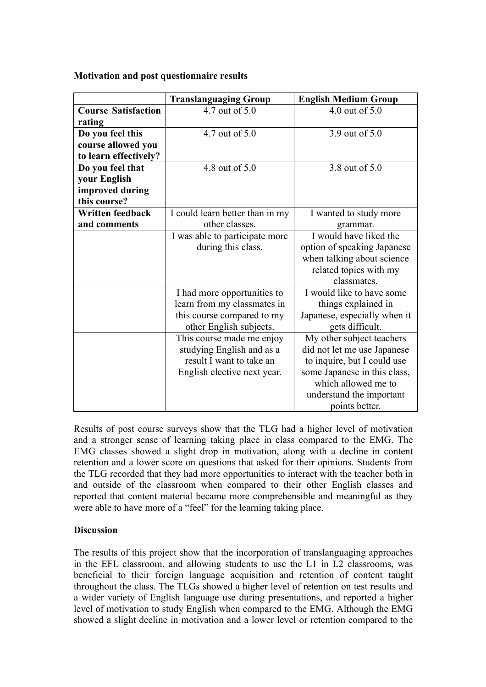### **Motivation and post questionnaire results**

|                            | <b>Translanguaging Group</b>    | <b>English Medium Group</b>  |
|----------------------------|---------------------------------|------------------------------|
| <b>Course Satisfaction</b> | 4.7 out of 5.0                  | 4.0 out of $5.0$             |
| rating                     |                                 |                              |
| Do you feel this           | 4.7 out of 5.0                  | 3.9 out of 5.0               |
| course allowed you         |                                 |                              |
| to learn effectively?      |                                 |                              |
| Do you feel that           | 4.8 out of 5.0                  | 3.8 out of 5.0               |
| your English               |                                 |                              |
| improved during            |                                 |                              |
| this course?               |                                 |                              |
| <b>Written feedback</b>    | I could learn better than in my | I wanted to study more       |
| and comments               | other classes.                  | grammar.                     |
|                            | I was able to participate more  | I would have liked the       |
|                            | during this class.              | option of speaking Japanese  |
|                            |                                 | when talking about science   |
|                            |                                 | related topics with my       |
|                            |                                 | classmates.                  |
|                            | I had more opportunities to     | I would like to have some    |
|                            | learn from my classmates in     | things explained in          |
|                            | this course compared to my      | Japanese, especially when it |
|                            | other English subjects.         | gets difficult.              |
|                            | This course made me enjoy       | My other subject teachers    |
|                            | studying English and as a       | did not let me use Japanese  |
|                            | result I want to take an        | to inquire, but I could use  |
|                            | English elective next year.     | some Japanese in this class, |
|                            |                                 | which allowed me to          |
|                            |                                 | understand the important     |
|                            |                                 | points better.               |

Results of post course surveys show that the TLG had a higher level of motivation and a stronger sense of learning taking place in class compared to the EMG. The EMG classes showed a slight drop in motivation, along with a decline in content retention and a lower score on questions that asked for their opinions. Students from the TLG recorded that they had more opportunities to interact with the teacher both in and outside of the classroom when compared to their other English classes and reported that content material became more comprehensible and meaningful as they were able to have more of a "feel" for the learning taking place.

### **Discussion**

The results of this project show that the incorporation of translanguaging approaches in the EFL classroom, and allowing students to use the L1 in L2 classrooms, was beneficial to their foreign language acquisition and retention of content taught throughout the class. The TLGs showed a higher level of retention on test results and a wider variety of English language use during presentations, and reported a higher level of motivation to study English when compared to the EMG. Although the EMG showed a slight decline in motivation and a lower level or retention compared to the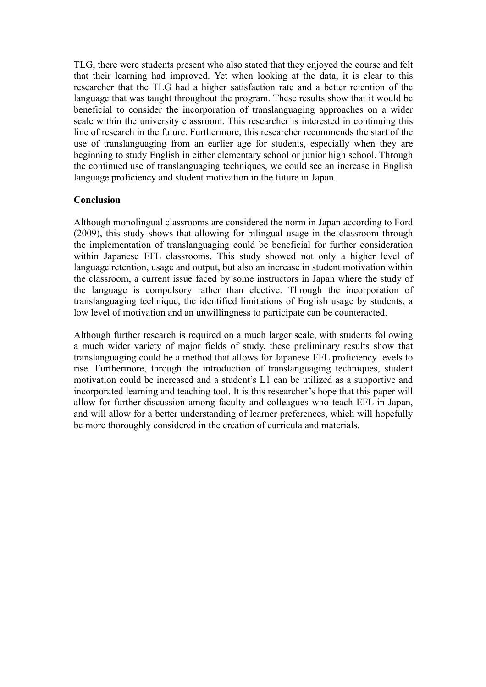TLG, there were students present who also stated that they enjoyed the course and felt that their learning had improved. Yet when looking at the data, it is clear to this researcher that the TLG had a higher satisfaction rate and a better retention of the language that was taught throughout the program. These results show that it would be beneficial to consider the incorporation of translanguaging approaches on a wider scale within the university classroom. This researcher is interested in continuing this line of research in the future. Furthermore, this researcher recommends the start of the use of translanguaging from an earlier age for students, especially when they are beginning to study English in either elementary school or junior high school. Through the continued use of translanguaging techniques, we could see an increase in English language proficiency and student motivation in the future in Japan.

## **Conclusion**

Although monolingual classrooms are considered the norm in Japan according to Ford (2009), this study shows that allowing for bilingual usage in the classroom through the implementation of translanguaging could be beneficial for further consideration within Japanese EFL classrooms. This study showed not only a higher level of language retention, usage and output, but also an increase in student motivation within the classroom, a current issue faced by some instructors in Japan where the study of the language is compulsory rather than elective. Through the incorporation of translanguaging technique, the identified limitations of English usage by students, a low level of motivation and an unwillingness to participate can be counteracted.

Although further research is required on a much larger scale, with students following a much wider variety of major fields of study, these preliminary results show that translanguaging could be a method that allows for Japanese EFL proficiency levels to rise. Furthermore, through the introduction of translanguaging techniques, student motivation could be increased and a student's L1 can be utilized as a supportive and incorporated learning and teaching tool. It is this researcher's hope that this paper will allow for further discussion among faculty and colleagues who teach EFL in Japan, and will allow for a better understanding of learner preferences, which will hopefully be more thoroughly considered in the creation of curricula and materials.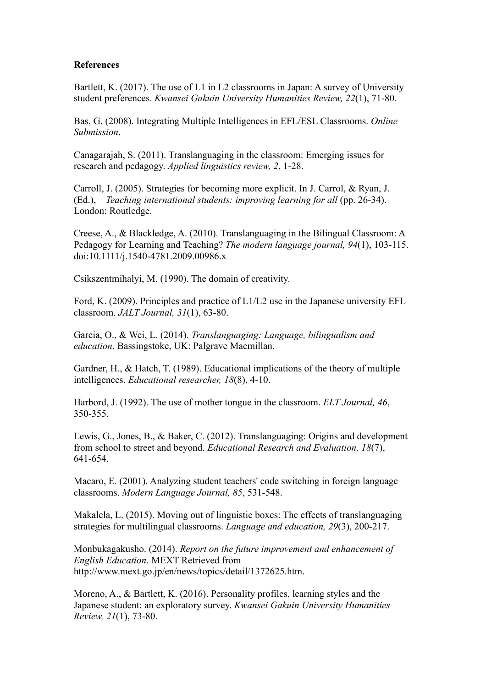### **References**

Bartlett, K. (2017). The use of L1 in L2 classrooms in Japan: A survey of University student preferences. *Kwansei Gakuin University Humanities Review, 22*(1), 71-80.

Bas, G. (2008). Integrating Multiple Intelligences in EFL/ESL Classrooms. *Online Submission*.

Canagarajah, S. (2011). Translanguaging in the classroom: Emerging issues for research and pedagogy. *Applied linguistics review, 2*, 1-28.

Carroll, J. (2005). Strategies for becoming more explicit. In J. Carrol, & Ryan, J. (Ed.), *Teaching international students: improving learning for all* (pp. 26-34). London: Routledge.

Creese, A., & Blackledge, A. (2010). Translanguaging in the Bilingual Classroom: A Pedagogy for Learning and Teaching? *The modern language journal, 94*(1), 103-115. doi:10.1111/j.1540-4781.2009.00986.x

Csikszentmihalyi, M. (1990). The domain of creativity.

Ford, K. (2009). Principles and practice of L1/L2 use in the Japanese university EFL classroom. *JALT Journal, 31*(1), 63-80.

Garcia, O., & Wei, L. (2014). *Translanguaging: Language, bilingualism and education*. Bassingstoke, UK: Palgrave Macmillan.

Gardner, H., & Hatch, T. (1989). Educational implications of the theory of multiple intelligences. *Educational researcher, 18*(8), 4-10.

Harbord, J. (1992). The use of mother tongue in the classroom. *ELT Journal, 46*, 350-355.

Lewis, G., Jones, B., & Baker, C. (2012). Translanguaging: Origins and development from school to street and beyond. *Educational Research and Evaluation, 18*(7), 641-654.

Macaro, E. (2001). Analyzing student teachers' code switching in foreign language classrooms. *Modern Language Journal, 85*, 531-548.

Makalela, L. (2015). Moving out of linguistic boxes: The effects of translanguaging strategies for multilingual classrooms. *Language and education, 29*(3), 200-217.

Monbukagakusho. (2014). *Report on the future improvement and enhancement of English Education*. MEXT Retrieved from http://www.mext.go.jp/en/news/topics/detail/1372625.htm.

Moreno, A., & Bartlett, K. (2016). Personality profiles, learning styles and the Japanese student: an exploratory survey. *Kwansei Gakuin University Humanities Review, 21*(1), 73-80.